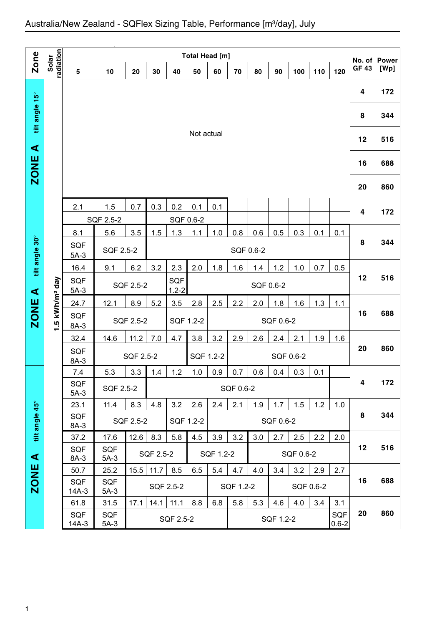|                      |                            |                                                             |                      |                                                                                        |           |           | <b>Total Head [m]</b> |           |                        |     |                  |           |           |     | No. of       | <b>Power</b> |
|----------------------|----------------------------|-------------------------------------------------------------|----------------------|----------------------------------------------------------------------------------------|-----------|-----------|-----------------------|-----------|------------------------|-----|------------------|-----------|-----------|-----|--------------|--------------|
| Zone                 | radiation<br>Solar         | 5                                                           | 10                   | 20                                                                                     | 30        | 40        | 50                    | 60        | 70                     | 80  | 90               | 100       | 110       | 120 | <b>GF 43</b> | [Wp]         |
|                      |                            |                                                             |                      |                                                                                        |           |           |                       |           |                        |     |                  |           |           |     | 4            | 172          |
| tilt angle 15°       |                            |                                                             |                      |                                                                                        |           |           |                       |           |                        |     |                  |           |           |     | 8            | 344          |
| $\blacktriangleleft$ |                            |                                                             |                      |                                                                                        |           |           | Not actual            |           |                        |     |                  |           |           |     | 12           | 516          |
| <b>ZONE</b>          |                            |                                                             |                      |                                                                                        |           |           |                       |           |                        |     |                  |           |           |     | 16           | 688          |
|                      |                            |                                                             |                      |                                                                                        |           |           |                       |           |                        |     |                  |           |           |     | 20           | 860          |
|                      |                            | 2.1                                                         | 1.5                  | 0.7                                                                                    | 0.3       | 0.2       | 0.1                   | 0.1       |                        |     |                  |           |           |     | 4            | 172          |
|                      |                            |                                                             | SQF 2.5-2            |                                                                                        |           | SQF 0.6-2 |                       |           |                        |     |                  |           |           |     |              |              |
| tilt angle 30°       |                            | 8.1<br>SQF<br>$5A-3$                                        | 5.6<br>SQF 2.5-2     | 1.3<br>3.5<br>1.5<br>1.0<br>0.8<br>0.5<br>0.3<br>1.1<br>0.6<br>0.1<br>0.1<br>SQF 0.6-2 |           |           |                       |           |                        |     |                  |           | 8         | 344 |              |              |
|                      |                            | 16.4                                                        | 9.1                  | 6.2<br>3.2<br>2.3<br>2.0<br>1.8<br>1.6<br>1.4<br>1.2<br>1.0<br>0.7<br>0.5              |           |           |                       |           |                        |     |                  |           |           |     |              |              |
| $\blacktriangleleft$ |                            | SQF<br>SQF<br>SQF 2.5-2<br>SQF 0.6-2<br>$1.2 - 2$<br>$5A-3$ |                      |                                                                                        |           |           |                       |           |                        |     |                  | 12        | 516       |     |              |              |
|                      |                            | 24.7                                                        | 12.1                 | 3.5<br>2.5<br>2.2<br>1.8<br>1.6<br>1.3<br>8.9<br>5.2<br>2.8<br>2.0<br>1.1              |           |           |                       |           |                        |     |                  |           |           |     |              |              |
| ZONE                 | 1.5 kWh/m <sup>2</sup> day | SQF<br>$8A-3$                                               |                      | SQF 2.5-2                                                                              |           | SQF 1.2-2 |                       | SQF 0.6-2 |                        |     |                  |           |           | 16  | 688          |              |
|                      |                            | 32.4                                                        | 14.6                 | 11.2                                                                                   | 7.0       | 4.7       | 3.8                   | 3.2       | 2.9                    | 2.6 | 2.4              | 2.1       | 1.9       | 1.6 |              |              |
|                      |                            | SQF<br>$8A-3$                                               |                      | SQF 2.5-2                                                                              |           |           | SQF 1.2-2             |           |                        |     |                  | SQF 0.6-2 |           |     | 20           | 860          |
|                      |                            | 7.4                                                         | 5.3                  | 3.3                                                                                    | 1.4       | 1.2       | 1.0                   | 0.9       | 0.7                    | 0.6 | 0.4              | 0.3       | 0.1       |     |              |              |
|                      |                            | SQF<br>$5A-3$                                               | SQF 2.5-2            |                                                                                        |           |           |                       |           | SQF 0.6-2              |     |                  |           |           |     | 4            | 172          |
| tilt angle 45°       |                            | 23.1<br><b>SQF</b>                                          | 11.4                 | 8.3<br>SQF 2.5-2                                                                       | 4.8       | 3.2       | 2.6<br>SQF 1.2-2      | 2.4       | 2.1                    | 1.9 | 1.7<br>SQF 0.6-2 | 1.5       | 1.2       | 1.0 | 8            | 344          |
|                      |                            | 8A-3<br>37.2                                                | 17.6                 | 12.6                                                                                   | 8.3       | 5.8       | 4.5                   | 3.9       | 3.2                    | 3.0 | 2.7              | 2.5       | 2.2       | 2.0 |              |              |
| $\blacktriangleleft$ |                            | <b>SQF</b><br>8A-3                                          | <b>SQF</b><br>$5A-3$ |                                                                                        | SQF 2.5-2 |           |                       |           | SQF 1.2-2<br>SQF 0.6-2 |     |                  |           |           |     | 12           | 516          |
|                      |                            | 50.7                                                        | 25.2                 | 15.5                                                                                   | 11.7      | 8.5       | 6.5                   | 5.4       | 4.7                    | 4.0 | 3.4              | 3.2       | 2.9       | 2.7 |              |              |
| <b>ZONE</b>          |                            | <b>SQF</b><br>$14A-3$                                       | SQF<br>$5A-3$        |                                                                                        |           | SQF 2.5-2 |                       |           | SQF 1.2-2              |     |                  |           | SQF 0.6-2 |     | 16           | 688          |
|                      |                            | 61.8                                                        | 31.5                 | 17.1                                                                                   |           | 11.1      | 8.8                   | 6.8       | 5.8                    | 5.3 | 4.6              | 4.0       | 3.4       | 3.1 |              |              |
|                      |                            | <b>SQF</b><br>$14A-3$                                       | SQF<br>$5A-3$        | 14.1<br>SQF<br>SQF 2.5-2<br>SQF 1.2-2<br>$0.6 - 2$                                     |           |           |                       |           |                        |     |                  | 20        | 860       |     |              |              |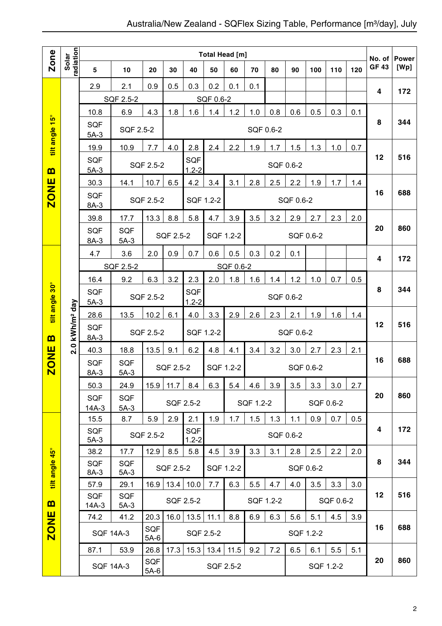## Australia/New Zealand - SQFlex Sizing Table, Performance [m<sup>3</sup>/day], July

|                |                        |                       |                      | <b>Total Head [m]</b> |           |                         |                                                 |                                               |           |           |           |           |           |     | No. of      | <b>Power</b> |
|----------------|------------------------|-----------------------|----------------------|-----------------------|-----------|-------------------------|-------------------------------------------------|-----------------------------------------------|-----------|-----------|-----------|-----------|-----------|-----|-------------|--------------|
| Zone           | radiation<br>Solar     | $5\phantom{.0}$       | 10                   | 20                    | 30        | 40                      | 50                                              | 60                                            | 70        | 80        | 90        | 100       | 110       | 120 | <b>GF43</b> | [Wp]         |
|                |                        | 2.9                   | 2.1                  | 0.9                   | 0.5       | 0.3                     | 0.2                                             | 0.1                                           | 0.1       |           |           |           |           |     | 4           | 172          |
|                |                        |                       | SQF 2.5-2            |                       |           |                         | SQF 0.6-2                                       |                                               |           |           |           |           |           |     |             |              |
|                |                        | 10.8                  | 6.9                  | 4.3                   | 1.8       | 1.6                     | 1.4                                             | 1.2                                           | 1.0       | 0.8       | 0.6       | 0.5       | 0.3       | 0.1 |             |              |
| tilt angle 15° |                        | <b>SQF</b><br>$5A-3$  | SQF 2.5-2            |                       |           |                         |                                                 |                                               | SQF 0.6-2 |           |           |           |           |     | 8           | 344          |
|                |                        | 19.9                  | 10.9                 | 7.7                   | 4.0       | 2.8                     | 2.4                                             | 2.2                                           | 1.9       | 1.7       | 1.5       | 1.3       | 1.0       | 0.7 |             |              |
| $\mathbf{m}$   |                        | <b>SQF</b><br>$5A-3$  |                      | SQF 2.5-2             |           | SQF<br>$1.2 - 2$        |                                                 |                                               |           |           | SQF 0.6-2 |           |           |     | 12          | 516          |
|                |                        | 30.3                  | 14.1                 | 10.7                  | 6.5       | 4.2                     | 3.4                                             | 3.1                                           | 2.8       | 2.5       | 2.2       | 1.9       | 1.7       | 1.4 |             |              |
| <b>ZONE</b>    |                        | <b>SQF</b><br>8A-3    |                      | <b>SQF 2.5-2</b>      |           |                         | SQF 1.2-2                                       |                                               |           |           | SQF 0.6-2 |           |           |     | 16          | 688          |
|                |                        | 39.8                  | 17.7                 | 13.3                  | 8.8       | 5.8                     | 4.7                                             | 3.9                                           | 3.5       | 3.2       | 2.9       | 2.7       | 2.3       | 2.0 |             |              |
|                |                        | <b>SQF</b><br>8A-3    | <b>SQF</b><br>$5A-3$ |                       | SQF 2.5-2 |                         | SQF 1.2-2                                       |                                               |           |           |           | SQF 0.6-2 |           |     | 20          | 860          |
|                |                        | 4.7                   | 3.6                  | 2.0                   | 0.9       | 0.7                     | 0.6                                             | 0.5                                           | 0.3       | 0.2       | 0.1       |           |           |     | 4           | 172          |
|                |                        |                       | SQF 2.5-2            |                       |           |                         |                                                 | SQF 0.6-2                                     |           |           |           |           |           |     |             |              |
|                |                        | 16.4                  | 9.2                  | 6.3                   | 3.2       | 2.3                     | 2.0                                             | 1.8<br>1.2<br>1.6<br>1.4<br>1.0<br>0.7<br>0.5 |           |           |           |           |           |     |             |              |
| tilt angle 30° |                        | <b>SQF</b><br>$5A-3$  |                      | SQF 2.5-2             |           | SQF<br>$1.2 - 2$        |                                                 |                                               |           |           | SQF 0.6-2 |           |           |     | 8           | 344          |
|                |                        | 28.6                  | 13.5                 | 10.2                  | 6.1       | 4.0                     | 3.3                                             | 2.9                                           | 2.6       | 2.3       | 2.1       | 1.9       | 1.6       | 1.4 |             |              |
| B              | kWh/m <sup>2</sup> day | <b>SQF</b><br>8A-3    |                      | SQF 2.5-2             |           | SQF 1.2-2<br>SQF 0.6-2  |                                                 |                                               |           |           |           |           | 12        | 516 |             |              |
|                | 2.0                    | 40.3                  | 18.8                 | 13.5                  | 9.1       | 6.2                     | 4.8                                             | 4.1                                           | 3.4       | 3.2       | 3.0       | 2.7       | 2.3       | 2.1 |             |              |
| <b>ZONE</b>    |                        | <b>SQF</b><br>8A-3    | <b>SQF</b><br>$5A-3$ |                       |           | SQF 2.5-2               |                                                 | SQF 1.2-2                                     |           |           |           | SQF 0.6-2 |           |     | 16          | 688          |
|                |                        | 50.3                  | 24.9                 | 15.9                  | 11.7      | 8.4                     | 6.3                                             | 5.4                                           | 4.6       | 3.9       | 3.5       | 3.3       | 3.0       | 2.7 |             |              |
|                |                        | <b>SQF</b>            | <b>SQF</b>           |                       |           | SQF 2.5-2               |                                                 |                                               | SQF 1.2-2 |           |           |           | SQF 0.6-2 |     | 20          | 860          |
|                |                        | $14A-3$<br>15.5       | $5A-3$<br>8.7        | 5.9                   | 2.9       | 2.1                     | 1.9                                             | 1.7                                           | 1.5       | 1.3       | 1.1       | 0.9       | 0.7       | 0.5 |             |              |
|                |                        | SQF<br>$5A-3$         |                      | SQF 2.5-2             |           | <b>SQF</b><br>$1.2 - 2$ |                                                 |                                               |           |           | SQF 0.6-2 |           |           |     | 4           | 172          |
|                |                        | 38.2                  | 17.7                 | 12.9                  | 8.5       | 5.8                     | 4.5                                             | 3.9                                           | 3.3       | 3.1       | 2.8       | 2.5       | 2.2       | 2.0 |             |              |
| tilt angle 45° |                        | <b>SQF</b><br>8A-3    | <b>SQF</b><br>$5A-3$ |                       | SQF 2.5-2 |                         |                                                 | SQF 1.2-2                                     |           |           |           | SQF 0.6-2 |           |     | 8           | 344          |
|                |                        | 57.9                  | 29.1                 | 16.9                  | 13.4      | 10.0                    | 7.7                                             | 6.3                                           | 5.5       | 4.7       | 4.0       | 3.5       | 3.3       | 3.0 |             |              |
| B              |                        | <b>SQF</b><br>$14A-3$ | <b>SQF</b><br>$5A-3$ |                       |           | SQF 2.5-2               |                                                 |                                               |           | SQF 1.2-2 |           |           | SQF 0.6-2 |     | 12          | 516          |
|                |                        | 74.2                  | 41.2                 | 20.3                  | 16.0      | 13.5                    | 11.1                                            | 8.8                                           | 6.9       | 6.3       | 5.6       | 5.1       | 4.5       | 3.9 |             |              |
| <b>ZONE</b>    |                        |                       | <b>SQF 14A-3</b>     | SQF<br>$5A-6$         |           |                         | SQF 2.5-2<br>SQF 1.2-2                          |                                               |           |           |           |           | 16        | 688 |             |              |
|                |                        | 87.1                  | 53.9                 | 26.8                  | 17.3      | 15.3                    | 11.5<br>9.2<br>7.2<br>6.5<br>6.1<br>5.5<br>13.4 |                                               |           |           |           | 5.1       |           |     |             |              |
|                |                        |                       | <b>SQF 14A-3</b>     | SQF<br>5A-6           |           |                         | SQF 2.5-2<br>SQF 1.2-2                          |                                               |           |           |           |           | 20        | 860 |             |              |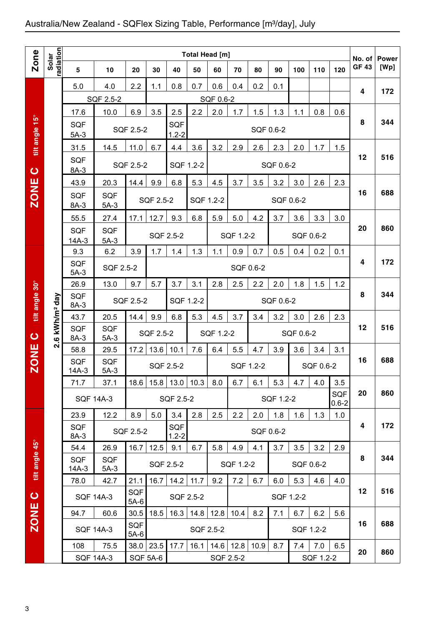## Australia/New Zealand - SQFlex Sizing Table, Performance [m3/day], July

|                |                                      | <b>Total Head [m]</b><br>5<br>20<br>30<br>40<br>50<br>60<br>70<br>80<br>90<br>100<br>110<br>10 |                          |                                                                         |                         |                         |                                               |                   |           |           |           |           |                  |                         |                        |                      |
|----------------|--------------------------------------|------------------------------------------------------------------------------------------------|--------------------------|-------------------------------------------------------------------------|-------------------------|-------------------------|-----------------------------------------------|-------------------|-----------|-----------|-----------|-----------|------------------|-------------------------|------------------------|----------------------|
| <b>Zone</b>    | Solar<br>radiation                   |                                                                                                |                          |                                                                         |                         |                         |                                               |                   |           |           |           |           |                  | 120                     | No. of<br><b>GF 43</b> | <b>Power</b><br>[Wp] |
|                |                                      | 5.0                                                                                            | 4.0                      | 2.2                                                                     | 1.1                     | 0.8                     | 0.7                                           | 0.6               | 0.4       | 0.2       | 0.1       |           |                  |                         |                        |                      |
|                |                                      |                                                                                                | SQF 2.5-2                |                                                                         |                         |                         |                                               | SQF 0.6-2         |           |           |           |           |                  |                         | 4                      | 172                  |
|                |                                      | 17.6                                                                                           | 10.0                     | 6.9                                                                     | 3.5                     | 2.5                     | 2.2                                           | 2.0               | 1.7       | 1.5       | 1.3       | 1.1       | 0.8              | 0.6                     |                        |                      |
| tilt angle 15° |                                      | <b>SQF</b><br>$5A-3$                                                                           |                          | SQF 2.5-2                                                               |                         | <b>SQF</b><br>$1.2 - 2$ |                                               |                   |           | SQF 0.6-2 |           |           |                  |                         | 8                      | 344                  |
|                |                                      | 31.5                                                                                           | 14.5                     | 11.0                                                                    | 6.7                     | 4.4                     | 3.6                                           | 3.2               | 2.9       | 2.6       | 2.3       | 2.0       | 1.7              | 1.5                     |                        |                      |
| $\bullet$      |                                      | <b>SQF</b><br>8A-3                                                                             |                          | SQF 2.5-2                                                               |                         | SQF 1.2-2               |                                               |                   |           |           | SQF 0.6-2 |           |                  |                         | 12                     | 516                  |
|                |                                      | 43.9                                                                                           | 20.3                     | 14.4                                                                    | 9.9                     | 6.8                     | 5.3                                           | 4.5               | 3.7       | 3.5       | 3.2       | 3.0       | 2.6              | 2.3                     |                        |                      |
| <b>ZONE</b>    |                                      | <b>SQF</b><br>8A-3                                                                             | <b>SQF</b><br>$5A-3$     |                                                                         | SQF 2.5-2               |                         | SQF 1.2-2                                     |                   |           |           |           | SQF 0.6-2 |                  |                         | 16                     | 688                  |
|                |                                      | 55.5                                                                                           | 27.4                     | 17.1                                                                    | 12.7                    | 9.3                     | 6.8                                           | 5.9               | 5.0       | 4.2       | 3.7       | 3.6       | 3.3              | 3.0                     |                        |                      |
|                |                                      | <b>SQF</b><br>$14A-3$                                                                          | <b>SQF</b><br>$5A-3$     |                                                                         |                         | SQF 2.5-2               |                                               |                   | SQF 1.2-2 |           |           | SQF 0.6-2 |                  |                         | 20                     | 860                  |
|                |                                      | 9.3                                                                                            | 6.2                      | 3.9                                                                     | 1.7                     | 1.4                     | 1.3                                           | 1.1               | 0.9       | 0.7       | 0.5       | 0.4       | 0.2              | 0.1                     |                        |                      |
|                |                                      | SQF<br>$5A-3$                                                                                  | SQF 2.5-2                |                                                                         |                         |                         |                                               |                   | SQF 0.6-2 |           |           |           |                  |                         | 4                      | 172                  |
|                |                                      | 26.9                                                                                           | 13.0                     | 9.7                                                                     | 5.7                     | 3.7                     | 3.1                                           | 2.8               | 2.5       | 2.2       | 2.0       | 1.8       | 1.5              | 1.2                     |                        |                      |
| tilt angle 30° | kWh/m <sup>2</sup> day               | <b>SQF</b><br>8A-3                                                                             |                          | SQF 2.5-2                                                               | SQF 1.2-2<br>SQF 0.6-2  |                         |                                               |                   |           |           | 8         | 344       |                  |                         |                        |                      |
|                |                                      | 43.7                                                                                           | 20.5                     | 14.4                                                                    | 9.9                     | 6.8                     | 5.3                                           | 4.5               | 3.7       | 3.4       | 3.2       | 3.0       | 2.6              | 2.3                     |                        |                      |
| $\mathbf C$    | $\bullet$<br>$\overline{\mathbf{a}}$ | <b>SQF</b><br>8A-3                                                                             | <b>SQF</b><br>$5A-3$     |                                                                         | SQF 2.5-2               |                         |                                               | SQF 1.2-2         |           |           |           | SQF 0.6-2 |                  |                         | 12                     | 516                  |
|                |                                      | 58.8                                                                                           | 29.5                     | 17.2                                                                    | 13.6                    | 10.1                    | 7.6                                           | 6.4               | 5.5       | 4.7       | 3.9       | 3.6       | 3.4              | 3.1                     | 16                     | 688                  |
| <b>ZONE</b>    |                                      | <b>SQF</b><br>$14A-3$                                                                          | <b>SQF</b><br>$5A-3$     |                                                                         |                         | SQF 2.5-2               |                                               |                   | SQF 1.2-2 |           |           |           | SQF 0.6-2        |                         |                        |                      |
|                |                                      | 71.7                                                                                           | 37.1                     | 18.6                                                                    | 15.8                    |                         | $13.0$   10.3                                 | 8.0               | 6.7       | 6.1       | 5.3       | 4.7       | 4.0              | 3.5                     |                        |                      |
|                |                                      |                                                                                                | <b>SQF 14A-3</b>         |                                                                         |                         | SQF 2.5-2               |                                               |                   |           |           | SQF 1.2-2 |           |                  | <b>SQF</b><br>$0.6 - 2$ | 20                     | 860                  |
|                |                                      | 23.9                                                                                           | 12.2                     | 8.9                                                                     | 5.0                     | 3.4                     | 2.8                                           | 2.5               | 2.2       | 2.0       | 1.8       | 1.6       | 1.3              | 1.0                     |                        |                      |
|                |                                      | <b>SQF</b><br>8A-3                                                                             |                          | SQF 2.5-2                                                               |                         | <b>SQF</b><br>$1.2 - 2$ |                                               |                   |           | SQF 0.6-2 |           |           |                  |                         | 4                      | 172                  |
|                |                                      | 54.4                                                                                           | 26.9                     | 16.7                                                                    | 12.5                    | 9.1                     | 6.7                                           | 5.8               | 4.9       | 4.1       | 3.7       | 3.5       | 3.2              | 2.9                     |                        |                      |
| tilt angle 45° |                                      | <b>SQF</b><br>$14A-3$                                                                          | <b>SQF</b><br>$5A-3$     | 21.1                                                                    |                         | SQF 2.5-2               |                                               |                   | SQF 1.2-2 |           |           | SQF 0.6-2 |                  |                         | 8                      | 344                  |
|                |                                      | 78.0                                                                                           | 42.7                     | 16.7                                                                    | 14.2                    | 11.7                    | 9.2<br>7.2<br>6.7<br>6.0<br>5.3<br>4.6<br>4.0 |                   |           |           |           |           |                  |                         |                        |                      |
| $\bullet$      |                                      |                                                                                                | <b>SQF 14A-3</b>         | <b>SQF</b><br>$5A-6$<br>30.5                                            |                         | SQF 2.5-2               |                                               |                   |           |           |           | SQF 1.2-2 |                  |                         | 12                     | 516                  |
| <b>ZONE</b>    |                                      | 94.7                                                                                           | 60.6                     | 18.5<br>16.3<br>14.8<br>12.8<br>8.2<br>7.1<br>6.2<br>5.6<br>10.4<br>6.7 |                         |                         |                                               |                   |           | 16        | 688       |           |                  |                         |                        |                      |
|                |                                      |                                                                                                | <b>SQF 14A-3</b>         | <b>SQF</b><br>$5A-6$                                                    |                         |                         | SQF 2.5-2                                     |                   |           |           |           | SQF 1.2-2 |                  |                         |                        |                      |
|                |                                      | 108                                                                                            | 75.5<br><b>SQF 14A-3</b> | 38.0                                                                    | 23.5<br><b>SQF 5A-6</b> | 17.7                    | 16.1                                          | 14.6<br>SQF 2.5-2 | 12.8      | 10.9      | 8.7       | 7.4       | 7.0<br>SQF 1.2-2 | 6.5                     | 20                     | 860                  |
|                |                                      |                                                                                                |                          |                                                                         |                         |                         |                                               |                   |           |           |           |           |                  |                         |                        |                      |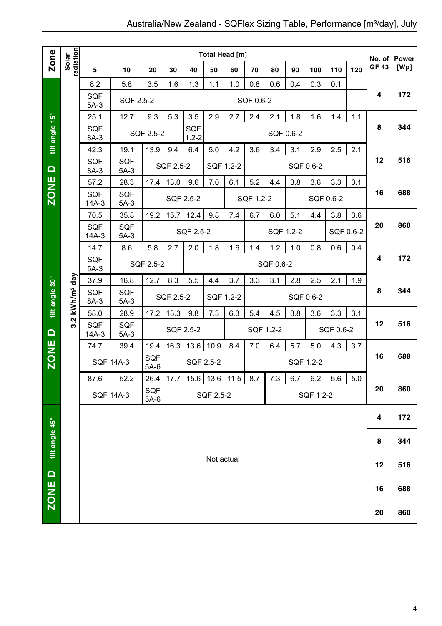|                |                            |                       |                      |               |           |                  | <b>Total Head [m]</b> |     |           |           |     |           |           |           | No. of       |                      |
|----------------|----------------------------|-----------------------|----------------------|---------------|-----------|------------------|-----------------------|-----|-----------|-----------|-----|-----------|-----------|-----------|--------------|----------------------|
| <b>Zone</b>    | radiation<br>Solar         | 5                     | 10                   | 20            | 30        | 40               | 50                    | 60  | 70        | 80        | 90  | 100       | 110       | 120       | <b>GF 43</b> | <b>Power</b><br>[Wp] |
|                |                            | 8.2                   | 5.8                  | 3.5           | 1.6       | 1.3              | 1.1                   | 1.0 | 0.8       | 0.6       | 0.4 | 0.3       | 0.1       |           |              |                      |
|                |                            | <b>SQF</b><br>$5A-3$  | SQF 2.5-2            |               |           |                  |                       |     | SQF 0.6-2 |           |     |           |           |           | 4            | 172                  |
|                |                            | 25.1                  | 12.7                 | 9.3           | 5.3       | 3.5              | 2.9                   | 2.7 | 2.4       | 2.1       | 1.8 | 1.6       | 1.4       | 1.1       |              |                      |
| tilt angle 15° |                            | <b>SQF</b><br>8A-3    |                      | SQF 2.5-2     |           | SQF<br>$1.2 - 2$ |                       |     |           | SQF 0.6-2 |     |           |           |           | 8            | 344                  |
|                |                            | 42.3                  | 19.1                 | 13.9          | 9.4       | 6.4              | 5.0                   | 4.2 | 3.6       | 3.4       | 3.1 | 2.9       | 2.5       | 2.1       |              |                      |
| $\blacksquare$ |                            | <b>SQF</b><br>8A-3    | <b>SQF</b><br>$5A-3$ |               | SQF 2.5-2 |                  | SQF 1.2-2             |     |           |           |     | SQF 0.6-2 |           |           | 12           | 516                  |
|                |                            | 57.2                  | 28.3                 | 17.4          | 13.0      | 9.6              | 7.0                   | 6.1 | 5.2       | 4.4       | 3.8 | 3.6       | 3.3       | 3.1       |              |                      |
| <b>ZONE</b>    |                            | <b>SQF</b><br>$14A-3$ | <b>SQF</b><br>$5A-3$ |               |           | SQF 2.5-2        |                       |     | SQF 1.2-2 |           |     |           | SQF 0.6-2 |           | 16           | 688                  |
|                |                            | 70.5                  | 35.8                 | 19.2          | 15.7      | 12.4             | 9.8                   | 7.4 | 6.7       | 6.0       | 5.1 | 4.4       | 3.8       | 3.6       |              |                      |
|                |                            | <b>SQF</b><br>$14A-3$ | <b>SQF</b><br>$5A-3$ |               |           | SQF 2.5-2        |                       |     |           | SQF 1.2-2 |     |           |           | SQF 0.6-2 | 20           | 860                  |
|                |                            | 14.7                  | 8.6                  | 5.8           | 2.7       | 2.0              | 1.8                   | 1.6 | 1.4       | 1.2       | 1.0 | 0.8       | 0.6       | 0.4       |              |                      |
|                |                            | <b>SQF</b><br>$5A-3$  |                      | SQF 2.5-2     |           |                  |                       |     |           | SQF 0.6-2 |     |           |           | 4         | 172          |                      |
|                |                            | 37.9                  | 16.8                 | 12.7          | 8.3       | 5.5              | 4.4                   | 3.7 | 3.3       | 3.1       | 2.8 | 2.5       | 2.1       | 1.9       |              |                      |
| tilt angle 30° | 3.2 kWh/m <sup>2</sup> day | <b>SQF</b><br>8A-3    | <b>SQF</b><br>$5A-3$ |               | SQF 2.5-2 |                  | SQF 1.2-2             |     |           |           |     | SQF 0.6-2 |           |           | 8            | 344                  |
|                |                            | 58.0                  | 28.9                 | 17.2          | 13.3      | 9.8              | 7.3                   | 6.3 | 5.4       | 4.5       | 3.8 | 3.6       | 3.3       | 3.1       |              |                      |
| $\Omega$       |                            | <b>SQF</b><br>$14A-3$ | <b>SQF</b><br>$5A-3$ |               |           | SQF 2.5-2        |                       |     | SQF 1.2-2 |           |     |           | SQF 0.6-2 |           | 12           | 516                  |
|                |                            | 74.7                  | 39.4                 | 19.4          | 16.3      | 13.6             | 10.9                  | 8.4 | 7.0       | 6.4       | 5.7 | 5.0       | 4.3       | 3.7       |              |                      |
| <b>ZONE</b>    |                            |                       | <b>SQF 14A-3</b>     | SQF<br>$5A-6$ |           |                  | SQF 2.5-2             |     |           |           |     | SQF 1.2-2 |           |           | 16           | 688                  |
|                |                            | 87.6                  | 52.2                 | 26.4          | 17.7      |                  | $15.6$   13.6   11.5  |     | 8.7       | 7.3       | 6.7 | 6.2       | 5.6       | 5.0       |              |                      |
|                |                            |                       | <b>SQF 14A-3</b>     | SQF<br>$5A-6$ |           |                  | SQF 2.5-2             |     |           |           |     | SQF 1.2-2 |           |           | 20           | 860                  |
|                |                            |                       |                      |               |           |                  |                       |     |           |           |     |           | 4         | 172       |              |                      |
| tilt angle 45° |                            |                       |                      |               |           |                  |                       |     |           |           |     | 8         | 344       |           |              |                      |
|                |                            |                       |                      |               |           |                  | Not actual            |     |           |           |     |           |           |           | 12           | 516                  |
| ZONE D         |                            |                       |                      |               |           |                  |                       |     |           |           |     |           |           |           | 16           | 688                  |
|                |                            |                       |                      |               |           |                  |                       |     |           |           |     |           |           |           | 20           | 860                  |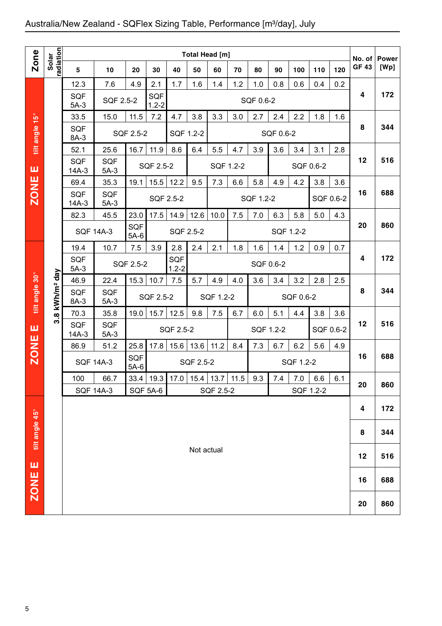## Australia/New Zealand - SQFlex Sizing Table, Performance [m3/day], July

|                  |                    |                       |                                   |                      |                         |                         | <b>Total Head [m]</b>  |                  |     |           |            |           |            |     |                       |                      |
|------------------|--------------------|-----------------------|-----------------------------------|----------------------|-------------------------|-------------------------|------------------------|------------------|-----|-----------|------------|-----------|------------|-----|-----------------------|----------------------|
| Zone             | Solar<br>radiation | 5                     | 10                                | 20                   | 30                      | 40                      | 50                     | 60               | 70  | 80        | 90         | 100       | 110        | 120 | No. of<br><b>GF43</b> | <b>Power</b><br>[Wp] |
|                  |                    | 12.3                  | 7.6                               | 4.9                  | 2.1                     | 1.7                     | 1.6                    | 1.4              | 1.2 | 1.0       | 0.8        | 0.6       | 0.4        | 0.2 |                       |                      |
|                  |                    | <b>SQF</b><br>$5A-3$  | SQF 2.5-2                         |                      | <b>SQF</b><br>$1.2 - 2$ |                         |                        |                  |     | SQF 0.6-2 |            |           |            |     | 4                     | 172                  |
|                  |                    | 33.5                  | 15.0                              | 11.5                 | 7.2                     | 4.7                     | 3.8                    | 3.3              | 3.0 | 2.7       | 2.4        | 2.2       | 1.8        | 1.6 |                       |                      |
| tilt angle 15°   |                    | <b>SQF</b><br>8A-3    |                                   | SQF 2.5-2            |                         | SQF 1.2-2               |                        |                  |     |           | SQF 0.6-2  |           |            |     | 8                     | 344                  |
|                  |                    | 52.1                  | 25.6                              | 16.7                 | 11.9                    | 8.6                     | 6.4                    | 5.5              | 4.7 | 3.9       | 3.6        | 3.4       | 3.1        | 2.8 |                       |                      |
| ш                |                    | <b>SQF</b><br>$14A-3$ | <b>SQF</b><br>$5A-3$              |                      | SQF 2.5-2               |                         |                        | SQF 1.2-2        |     |           |            | SQF 0.6-2 |            |     | 12                    | 516                  |
|                  |                    | 69.4                  | 35.3                              | 19.1                 | 15.5                    | 12.2                    | 9.5                    | 7.3              | 6.6 | 5.8       | 4.9        | 4.2       | 3.8        | 3.6 |                       |                      |
| <b>ZONE</b>      |                    | <b>SQF</b><br>$14A-3$ | <b>SQF</b><br>$5A-3$              |                      |                         | SQF 2.5-2               |                        |                  |     | SQF 1.2-2 |            |           | SQF 0.6-2  |     | 16                    | 688                  |
|                  |                    | 82.3                  | 45.5                              | 23.0                 | 17.5                    | 14.9                    | 12.6                   | 10.0             | 7.5 | 7.0       | 6.3        | 5.8       | 5.0        | 4.3 |                       |                      |
|                  |                    | <b>SQF 14A-3</b>      |                                   | <b>SQF</b><br>$5A-6$ |                         | SQF 2.5-2               |                        |                  |     |           | SQF 1.2-2  |           |            |     | 20                    | 860                  |
|                  |                    | 19.4                  | 10.7                              | 7.5                  | 3.9                     | 2.8                     | 2.4                    | 2.1              | 1.8 | 1.6       | 1.4        | 1.2       | 0.9        | 0.7 |                       |                      |
|                  |                    | <b>SQF</b><br>$5A-3$  |                                   | SQF 2.5-2            |                         | <b>SQF</b><br>$1.2 - 2$ |                        |                  |     | SQF 0.6-2 |            |           |            |     | 4                     | 172                  |
|                  | day                | 46.9                  | 22.4                              | 15.3                 | 10.7                    | 7.5                     | 5.7                    | 4.9              | 4.0 | 3.6       | 3.4        | 3.2       | 2.8        | 2.5 |                       |                      |
| tilt angle 30°   | kWh/m <sup>2</sup> | <b>SQF</b><br>8A-3    | <b>SQF</b><br>$5A-3$              |                      | SQF 2.5-2               |                         | SQF 1.2-2<br>SQF 0.6-2 |                  |     |           |            |           |            |     | 8                     | 344                  |
|                  | $\infty$<br>ຕ່     | 70.3                  | 35.8                              | 19.0                 | 15.7                    | 12.5                    | 9.8                    | 7.5              | 6.7 |           | 5.1<br>4.4 |           | 3.8<br>3.6 |     |                       |                      |
| ш                |                    | <b>SQF</b><br>$14A-3$ | <b>SQF</b><br>SQF 2.5-2<br>$5A-3$ |                      |                         |                         | SQF 1.2-2              |                  |     | SQF 0.6-2 |            | 12        | 516        |     |                       |                      |
|                  |                    | 86.9                  | 51.2                              | 25.8                 | 17.8                    | 15.6                    | 13.6                   | 11.2             | 8.4 | 7.3       | 6.7        | 6.2       | 5.6        | 4.9 |                       |                      |
| <b>ZONE</b>      |                    | <b>SQF 14A-3</b>      |                                   | SQF<br>$5A-6$        |                         |                         | SQF 2.5-2              |                  |     |           |            | SQF 1.2-2 |            |     | 16                    | 688                  |
|                  |                    | 100                   | 66.7                              |                      | $33.4$   19.3           | 17.0                    |                        | $15.4$ 13.7 11.5 |     | 9.3       | 7.4        | 7.0       | 6.6        | 6.1 | 20                    | 860                  |
|                  |                    | <b>SQF 14A-3</b>      |                                   |                      | <b>SQF 5A-6</b>         |                         |                        | SQF 2.5-2        |     |           |            | SQF 1.2-2 |            |     |                       |                      |
|                  |                    |                       |                                   |                      |                         |                         |                        |                  |     |           |            |           |            | 4   | 172                   |                      |
| tilt angle 45°   |                    |                       |                                   |                      |                         |                         |                        |                  |     |           |            |           | 8          | 344 |                       |                      |
|                  |                    |                       |                                   |                      | Not actual              |                         |                        |                  |     |           |            |           |            | 12  | 516                   |                      |
| ш<br><b>ZONE</b> |                    |                       |                                   |                      |                         |                         |                        |                  |     |           |            |           |            |     | 16                    | 688                  |
|                  |                    |                       |                                   |                      |                         |                         |                        |                  |     |           |            |           |            |     | 20                    | 860                  |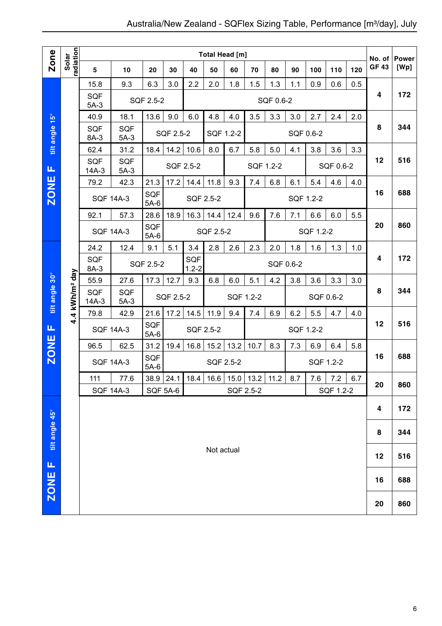|                  |                            |                                                                  |                      |                      |             |           | Total Head [m] |           |                    |           |           |           |           |     | No. of       | <b>Power</b> |
|------------------|----------------------------|------------------------------------------------------------------|----------------------|----------------------|-------------|-----------|----------------|-----------|--------------------|-----------|-----------|-----------|-----------|-----|--------------|--------------|
| Zone             | radiation<br>Solar         | 5                                                                | 10                   | 20                   | 30          | 40        | 50             | 60        | 70                 | 80        | 90        | 100       | 110       | 120 | <b>GF 43</b> | [Wp]         |
|                  |                            | 15.8                                                             | 9.3                  | 6.3                  | 3.0         | 2.2       | 2.0            | 1.8       | 1.5                | 1.3       | 1.1       | 0.9       | 0.6       | 0.5 |              |              |
|                  |                            | <b>SQF</b><br>$5A-3$                                             |                      | SQF 2.5-2            |             |           |                |           |                    | SQF 0.6-2 |           |           |           |     | 4            | 172          |
|                  |                            | 40.9                                                             | 18.1                 | 13.6                 | 9.0         | 6.0       | 4.8            | 4.0       | 3.5                | 3.3       | 3.0       | 2.7       | 2.4       | 2.0 |              |              |
| tilt angle 15°   |                            | <b>SQF</b><br>8A-3                                               | <b>SQF</b><br>$5A-3$ |                      | SQF 2.5-2   |           | SQF 1.2-2      |           |                    |           |           | SQF 0.6-2 |           |     | 8            | 344          |
|                  |                            | 62.4                                                             | 31.2                 | 18.4                 | 14.2        | 10.6      | 8.0            | 6.7       | 5.8                | 5.0       | 4.1       | 3.8       | 3.6       | 3.3 |              |              |
| Щ                |                            | <b>SQF</b><br>$14A-3$                                            | <b>SQF</b><br>$5A-3$ |                      |             | SQF 2.5-2 |                |           | SQF 1.2-2          |           |           |           | SQF 0.6-2 |     | 12           | 516          |
|                  |                            | 79.2                                                             | 42.3                 | 21.3                 | 17.2        | 14.4      | 11.8           | 9.3       | 7.4                | 6.8       | 6.1       | 5.4       | 4.6       | 4.0 |              |              |
| <b>ZONE</b>      |                            |                                                                  | <b>SQF 14A-3</b>     | <b>SQF</b><br>$5A-6$ |             | SQF 2.5-2 |                |           |                    |           | SQF 1.2-2 |           |           |     | 16           | 688          |
|                  |                            | 92.1                                                             | 57.3                 | 28.6                 | 18.9        | 16.3      | 14.4           | 12.4      | 9.6                | 7.6       | 7.1       | 6.6       | 6.0       | 5.5 |              |              |
|                  |                            | <b>SQF 14A-3</b>                                                 |                      | <b>SQF</b><br>$5A-6$ |             |           | SQF 2.5-2      |           |                    |           |           | SQF 1.2-2 |           |     | 20           | 860          |
|                  |                            | 24.2                                                             | 12.4                 | 9.1                  | 5.1         | 3.4       | 2.8            | 2.6       | 2.3                | 2.0       | 1.8       | 1.6       | 1.3       | 1.0 |              |              |
|                  |                            | SQF<br><b>SQF</b><br>SQF 2.5-2<br>SQF 0.6-2<br>$1.2 - 2$<br>8A-3 |                      |                      |             |           |                |           |                    |           |           | 4         | 172       |     |              |              |
|                  |                            | 55.9                                                             | 27.6                 | 17.3                 | 12.7        | 9.3       | 6.8            | 6.0       | 5.1                | 4.2       | 3.8       | 3.6       | 3.3       | 3.0 |              |              |
| tilt angle 30°   | 4.4 kWh/m <sup>2</sup> day | SQF<br>$14A-3$                                                   | <b>SQF</b><br>$5A-3$ |                      | SQF 2.5-2   |           |                | SQF 1.2-2 |                    |           |           |           | SQF 0.6-2 |     | 8            | 344          |
|                  |                            | 79.8                                                             | 42.9                 | 21.6                 | 17.2        | 14.5      | 11.9           | 9.4       | 7.4                | 6.9       | 6.2       | 5.5       | 4.7       | 4.0 |              |              |
| Щ                |                            | <b>SQF 14A-3</b>                                                 |                      | <b>SQF</b><br>$5A-6$ |             | SQF 2.5-2 |                |           |                    |           |           | SQF 1.2-2 |           |     | 12           | 516          |
|                  |                            | 96.5                                                             | 62.5                 | 31.2                 | 19.4        | 16.8      | 15.2           | 13.2      | 10.7               | 8.3       | 7.3       | 6.9       | 6.4       | 5.8 |              |              |
| <b>ZONE</b>      |                            |                                                                  | <b>SQF 14A-3</b>     | SQF<br>$5A-6$        |             |           | SQF 2.5-2      |           |                    |           |           |           | SQF 1.2-2 |     | 16           | 688          |
|                  |                            | 111                                                              | 77.6                 |                      | $38.9$ 24.1 | 18.4      | 16.6           |           | 15.0   13.2   11.2 |           | 8.7       | 7.6       | 7.2       | 6.7 | 20           | 860          |
|                  |                            | <b>SQF 14A-3</b><br>SQF 5A-6<br>SQF 2.5-2<br>SQF 1.2-2           |                      |                      |             |           |                |           |                    |           |           |           |           |     |              |              |
|                  |                            |                                                                  |                      |                      |             |           |                |           |                    |           | 4         | 172       |           |     |              |              |
| tilt angle 45°   |                            |                                                                  |                      |                      |             |           |                |           |                    |           |           |           |           |     | 8            | 344          |
|                  |                            |                                                                  |                      |                      |             |           | Not actual     |           |                    |           |           |           |           |     | 12           | 516          |
| щ<br><b>ZONE</b> |                            |                                                                  |                      |                      |             |           |                |           |                    |           |           |           |           |     | 16           | 688          |
|                  |                            |                                                                  |                      |                      |             |           |                |           |                    |           |           |           | 20        | 860 |              |              |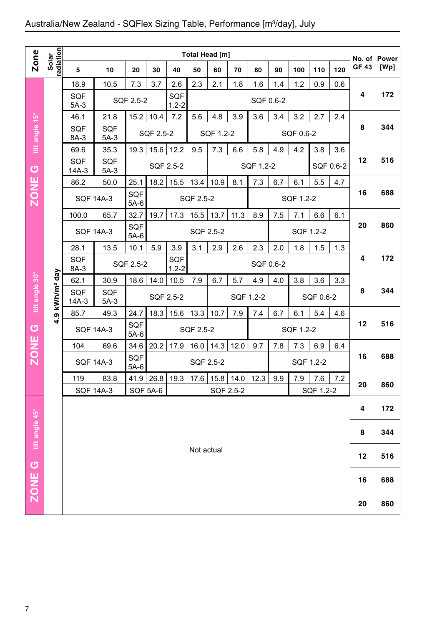## Australia/New Zealand - SQFlex Sizing Table, Performance [m3/day], July

|                |                        |                       |                      |                               |           |                         |                                                      | Total Head [m] |             |           |           |           |           |           |                        |                      |
|----------------|------------------------|-----------------------|----------------------|-------------------------------|-----------|-------------------------|------------------------------------------------------|----------------|-------------|-----------|-----------|-----------|-----------|-----------|------------------------|----------------------|
| <b>Zone</b>    | radiation<br>Solar     | 5                     | 10                   | 20                            | 30        | 40                      | 50                                                   | 60             | 70          | 80        | 90        | 100       | 110       | 120       | No. of<br><b>GF 43</b> | <b>Power</b><br>[Wp] |
|                |                        | 18.9                  | 10.5                 | 7.3                           | 3.7       | 2.6                     | 2.3                                                  | 2.1            | 1.8         | 1.6       | 1.4       | 1.2       | 0.9       | 0.6       |                        |                      |
|                |                        | <b>SQF</b><br>$5A-3$  |                      | SQF 2.5-2                     |           | <b>SQF</b><br>$1.2 - 2$ |                                                      |                |             | SQF 0.6-2 |           |           |           |           | 4                      | 172                  |
|                |                        | 46.1                  | 21.8                 | 15.2                          | 10.4      | 7.2                     | 5.6                                                  | 4.8            | 3.9         | 3.6       | 3.4       | 3.2       | 2.7       | 2.4       |                        |                      |
| tilt angle 15° |                        | <b>SQF</b><br>8A-3    | <b>SQF</b><br>$5A-3$ |                               | SQF 2.5-2 |                         |                                                      | SQF 1.2-2      |             |           |           | SQF 0.6-2 |           |           | 8                      | 344                  |
|                |                        | 69.6                  | 35.3                 | 19.3                          | 15.6      | 12.2                    | 9.5                                                  | 7.3            | 6.6         | 5.8       | 4.9       | 4.2       | 3.8       | 3.6       |                        |                      |
| $\sigma$       |                        | <b>SQF</b><br>$14A-3$ | <b>SQF</b><br>$5A-3$ |                               | SQF 2.5-2 |                         |                                                      |                |             | SQF 1.2-2 |           |           |           | SQF 0.6-2 | 12                     | 516                  |
|                |                        | 86.2                  | 50.0                 | 25.1                          | 18.2      | 15.5                    | 13.4                                                 | 10.9           | 8.1         | 7.3       | 6.7       | 6.1       | 5.5       | 4.7       |                        |                      |
| <b>ZONE</b>    |                        | <b>SQF 14A-3</b>      |                      | <b>SQF</b><br>$5A-6$          |           |                         | SQF 2.5-2                                            |                |             |           |           | SQF 1.2-2 |           |           | 16                     | 688                  |
|                |                        | 100.0                 | 65.7                 | 32.7                          | 19.7      | 17.3                    | 15.5                                                 | 13.7           | 11.3        | 8.9       | 7.5       | 7.1       | 6.6       | 6.1       |                        |                      |
|                |                        | <b>SQF 14A-3</b>      |                      | SQF<br>$5A-6$                 |           |                         | SQF 2.5-2                                            |                |             |           |           |           | SQF 1.2-2 |           | 20                     | 860                  |
|                |                        | 28.1                  | 13.5                 | 10.1                          | 5.9       | 3.9                     | 3.1<br>2.3<br>2.9<br>2.6<br>2.0<br>1.8<br>1.5<br>1.3 |                |             |           |           |           |           |           |                        |                      |
|                |                        | <b>SQF</b><br>8A-3    |                      | SQF<br>SQF 2.5-2<br>$1.2 - 2$ |           |                         |                                                      |                |             |           | SQF 0.6-2 |           |           |           |                        | 172                  |
|                |                        | 62.1                  | 30.9                 | 18.6                          | 14.0      | 10.5                    | 7.9                                                  | 6.7            | 5.7         | 4.9       | 4.0       | 3.8       | 3.6       | 3.3       |                        |                      |
| tilt angle 30° | kWh/m <sup>2</sup> day | <b>SQF</b><br>$14A-3$ | <b>SQF</b><br>$5A-3$ |                               | SQF 2.5-2 |                         |                                                      |                | SQF 1.2-2   |           |           |           | SQF 0.6-2 |           | 8                      | 344                  |
|                | თ                      | 85.7                  | 49.3                 | 24.7                          | 18.3      | 15.6                    | 13.3                                                 | 10.7           | 7.9         | 7.4       | 6.7       | 6.1       | 5.4       | 4.6       |                        |                      |
| U              | ÷                      | <b>SQF 14A-3</b>      |                      | SQF<br>$5A-6$                 |           |                         | <b>SQF 2.5-2</b>                                     |                |             |           |           | SQF 1.2-2 |           |           | 12                     | 516                  |
|                |                        | 104                   | 69.6                 | 34.6                          | 20.2      | 17.9                    | 16.0                                                 | 14.3           | 12.0        | 9.7       | 7.8       | 7.3       | 6.9       | 6.4       |                        |                      |
| <b>ZONE</b>    |                        | <b>SQF 14A-3</b>      |                      | SQF<br>$5A-6$                 |           |                         | SQF 2.5-2                                            |                |             |           |           |           | SQF 1.2-2 |           | 16                     | 688                  |
|                |                        | 119                   | 83.8                 |                               |           | 41.9 26.8 19.3          | 17.6                                                 |                | $15.8$ 14.0 | 12.3      | 9.9       | 7.9       | $7.6$     | 7.2       | 20                     | 860                  |
|                |                        | <b>SQF 14A-3</b>      |                      |                               | SQF 5A-6  |                         |                                                      | SQF 2.5-2      |             |           |           |           | SQF 1.2-2 |           |                        |                      |
|                |                        |                       |                      |                               |           |                         |                                                      |                |             |           |           |           |           |           | 4                      | 172                  |
| tilt angle 45° |                        |                       |                      |                               |           |                         |                                                      |                |             | 8         | 344       |           |           |           |                        |                      |
|                |                        |                       |                      |                               |           |                         | Not actual                                           |                |             |           |           |           |           |           | 12                     | 516                  |
| <b>ပ</b>       |                        |                       |                      |                               |           |                         |                                                      |                |             |           |           |           |           |           | 16                     | 688                  |
| <b>ZONE</b>    |                        |                       |                      |                               |           |                         |                                                      |                |             |           |           | 20        | 860       |           |                        |                      |